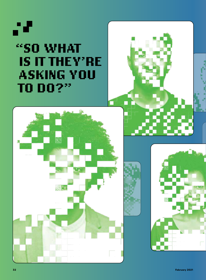# 78 **"SO WHAT IS IT THEY'RE ASKING YOU TO DO?"**





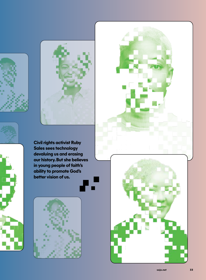







**Civil rights activist Ruby Sales sees technology devaluing us and erasing our history. But she believes in young people of faith's ability to promote God's better vision of us.**



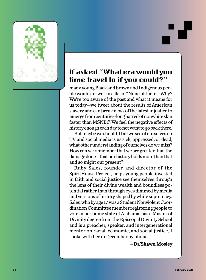

# **If asked "What era would you time travel to if you could?"**

many young Black and brown and Indigenous peo ple would answer in a flash, "None of them." Why? We're too aware of the past and what it means for us today—we tweet about the results of American slavery and can break news of the latest injustice to emerge from centuries-long hatred of nonwhite skin faster than MSNBC. We feel the negative effects of history enough each day to not want to go back there.

But maybe we should. If all we see of ourselves on TV and social media is us sick, oppressed, or dead, what other understanding of ourselves do we miss? How can we remember that we are greater than the damage done—that our history holds more than that and so might our present?

Ruby Sales, founder and director of the SpiritHouse Project, helps young people invested in faith and social justice see themselves through the lens of their divine wealth and boundless po tential rather than through eyes dimmed by media and versions of history shaped by white supremacy. Sales, who by age 17 was a Student Nonviolent Coor dination Committee member registering people to vote in her home state of Alabama, has a Master of Divinity degree from the Episcopal Divinity School and is a preacher, speaker, and intergenerational mentor on racial, economic, and social justice. I spoke with her in December by phone.

—Da'Shawn Mosley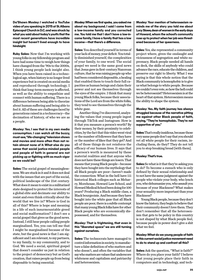**Da'Shawn Mosley: I watched a YouTube video of you speaking in 2015 at St. Albans Episcopal Church in D.C. and was struck by what you said about today's youth: that the most recent generations have incredible insight but haven't lived enough to have hindsight.**

**Ruby Sales:** Now that I'm working with young folks in my fellowship program and have had some time to weigh how things have changed from the '90s to the 2000s, I think young people lack insight also. When you have been raised in a technological age, when history is no longer lived experience but is created on social media and reproduced through technology, I think that long-term memory is affected, as well as the ability to empathize and connect with human suffering. There is a difference between being able to theorize about human suffering and being able to feel it. All of these are challenges faced by generations raised in a technocracy—the decimation of history, of who we are as a people.

**Mosley: Yes. I see that in my own media consumption. I can watch all the buzzy, must-see, "life-changing" television shows and movies and more often than not retain almost none of it. What else do you sense that social justice-minded people and people of faith in general are not picking up or fighting with as much vigor as we could be?**

**Sales:** The social gospel of meaninglessness. We are stuck in it and it does not deal with the issues that are part of the social, political landscape of the 21st century. What does it mean to exist in a militarized state designed to protect the interests of a global elite and decimate our ability to resist and even think critically about the world that we live in? Where is God in all of this? Where is hope and meaning in a life of such insurmountable greed and social malformation? I don't see a social gospel that gives us the good news. Instead, I still hear people calling people marginalized. Yes, you can tell me that I might be marginalized because of the state, but the good news is that I am significant and I am relevant, to my partners, to my family, to my community, and to God. We need a social, spiritual gospel that doesn't consider us just in relation to the project of democracy but as God's creation, that raises people up from being disposable to being essential.

**Mosley: When we first spoke, you asked me about my background. I said I come from a low-income family and you corrected me. You told me that I don't have a low-income family, I have a family that has a low**   $i$  **income—that there's a difference.** 

**Sales:** You described yourself in terms of your lack of money, your deficit. You totally diminished yourself, the complexities of your family, to one word. The social gospel we need is the same good news that Jesus gave in first-century Nazorean culture, that he was raising people up who had been considered disposable, a healing that enabled them to touch their full capacities as human beings and claim their power and not see themselves through the eyes of the empire. I think that many young Black folks, because their associations of the Lord are from the white folks, they tend to see themselves through the white gaze.

Another thing I've discovered, analyzing the values that young people ingest through TikTok and Instagram: How is it that you measure a person's worth? By their money, by their proximity to celebrities, by the fact that this video went viral or the number of followers that they have or the number of likes that they get? And all of those things do not reinforce the efficacy of our human lives. It says that a person's worth is measured by these material realities and that anyone who does not have these things are losers. That means that young Black people—because they have bought into the mythology that all Black people are poor—haven't made the connection: What in the hell have 111 historical Black colleges such as Meharry, Morehouse, Howard Law School, and Howard Medical School been doing for 100 years? Producing a Black middle class, a Black bourgeoisie. And because they have bought into the white gaze that all Black people are poor, there is a subtle contempt that many young Black folks have for other Black people who are economically dispossessed, and for themselves.

## **Mosley: That is frightening, that even in this "liberated space" we are still turning against ourselves.**

**Sales:** The technocrats have managed to control information in society, to manufacture a false definition of who matters and who doesn't, and often the variables that say who matters are values that underscore whiteness and capitalism and patriarchy and heterosexism.

**Mosley: Your mention of heterosexism reminds me of the story you told me about Lucy Slowe, dean of women in the early days of Howard, whom the school's community rose up to protect when her job was threatened because of her queerness.**

**Sales:** Yes, she represented a community project where, given the onslaught and viciousness of segregation and white supremacy, Black people needed all hands on deck, the skills of anybody who could advance the race, educate the children, and preserve our right to liberty. What I was saying is that this whole notion that the Black community is homophobic is to give us what belongs to white people. Because we couldn't even vote, so how the hell could we be heterosexist? Heterosexism is at the heart of that system. Heterosexism means the ability to shape the system.

# **Mosley: Yes. My faith journey has always struggled because of the narrative pitting me against other Black people of faith, saying, "They're homophobic. They're not supportive of you."**

**Sales:** That's really insidious, because those very same people don't say that you should vet all white people for their racism, including them, do they? They do not tell you to stop breaking bread [with them].

# **Mosley: That's true.**

**Sales:** So what is it that they're asking you to do? To become a eunuch who is only defined by their sexual relationship and to not have the same judgment against the people who violate your body, who lynch you, who dehumanize you, who assault you because of your Blackness? What makes your sexuality more important than your Blackness?

Young Black people, because they don't know the history, they begin to believe that their community doesn't love them. They don't remember that all the heterosexism that gets to be policy in this country is not shaped by what Black people feel, because people in power don't give a shit what we feel.

# **Mosley: What do we young people of faith in this current social justice movement need to do to stand up and confront all this?**

**Sales:** Ask the question, "What is faith?" Where do you place your faith? I believe that young people place their faith in computers and in technology, and tech-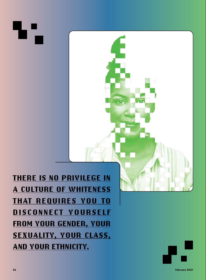**THERE IS NO PRIVILEGE IN A CULTURE OF WHITENESS THAT REQUIRES YOU TO DISCONNECT YOURSELF FROM YOUR GENDER, YOUR SEXUALITY, YOUR CLASS, AND YOUR ETHNICITY.**